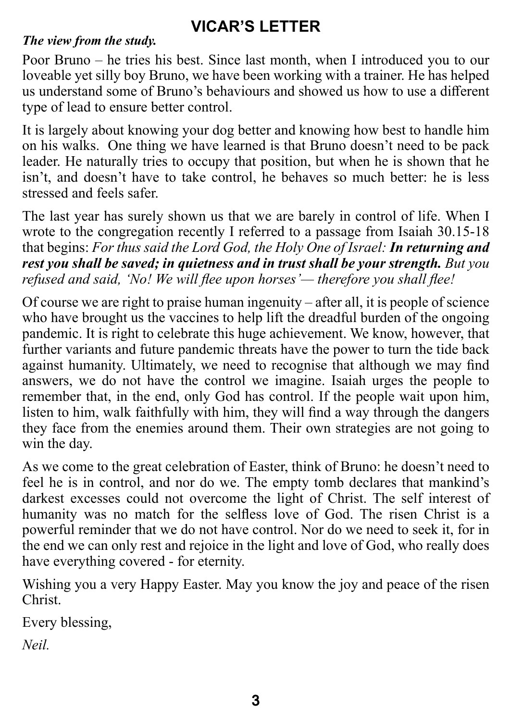# **VICAR'S LETTER**

## *The view from the study.*

Poor Bruno – he tries his best. Since last month, when I introduced you to our loveable yet silly boy Bruno, we have been working with a trainer. He has helped us understand some of Bruno's behaviours and showed us how to use a different type of lead to ensure better control.

It is largely about knowing your dog better and knowing how best to handle him on his walks. One thing we have learned is that Bruno doesn't need to be pack leader. He naturally tries to occupy that position, but when he is shown that he isn't, and doesn't have to take control, he behaves so much better: he is less stressed and feels safer.

The last year has surely shown us that we are barely in control of life. When I wrote to the congregation recently I referred to a passage from Isaiah 30.15-18 that begins: *For thus said the Lord God, the Holy One of Israel: In returning and rest you shall be saved; in quietness and in trust shall be your strength. But you refused and said, 'No! We will flee upon horses'— therefore you shall flee!*

Of course we are right to praise human ingenuity – after all, it is people of science who have brought us the vaccines to help lift the dreadful burden of the ongoing pandemic. It is right to celebrate this huge achievement. We know, however, that further variants and future pandemic threats have the power to turn the tide back against humanity. Ultimately, we need to recognise that although we may find answers, we do not have the control we imagine. Isaiah urges the people to remember that, in the end, only God has control. If the people wait upon him, listen to him, walk faithfully with him, they will find a way through the dangers they face from the enemies around them. Their own strategies are not going to win the day.

As we come to the great celebration of Easter, think of Bruno: he doesn't need to feel he is in control, and nor do we. The empty tomb declares that mankind's darkest excesses could not overcome the light of Christ. The self interest of humanity was no match for the selfless love of God. The risen Christ is a powerful reminder that we do not have control. Nor do we need to seek it, for in the end we can only rest and rejoice in the light and love of God, who really does have everything covered - for eternity.

Wishing you a very Happy Easter. May you know the joy and peace of the risen Christ.

Every blessing,

*Neil.*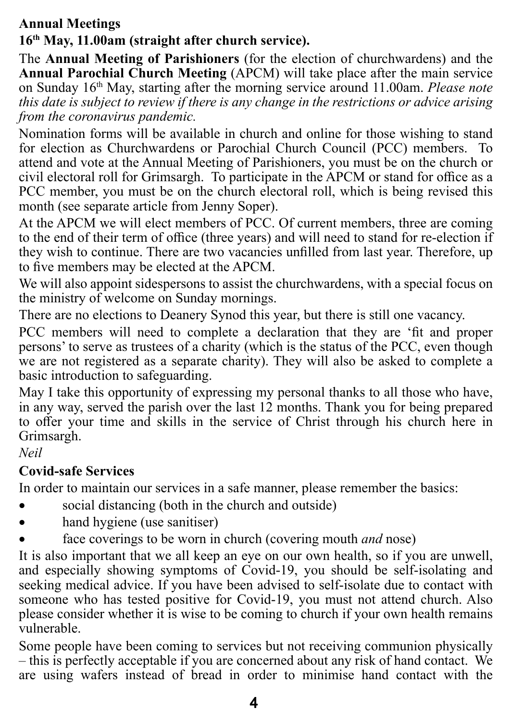# **Annual Meetings**

## **16th May, 11.00am (straight after church service).**

The **Annual Meeting of Parishioners** (for the election of churchwardens) and the **Annual Parochial Church Meeting** (APCM) will take place after the main service on Sunday 16th May, starting after the morning service around 11.00am. *Please note this date is subject to review if there is any change in the restrictions or advice arising from the coronavirus pandemic.*

Nomination forms will be available in church and online for those wishing to stand for election as Churchwardens or Parochial Church Council (PCC) members. attend and vote at the Annual Meeting of Parishioners, you must be on the church or civil electoral roll for Grimsargh. To participate in the APCM or stand for office as a PCC member, you must be on the church electoral roll, which is being revised this month (see separate article from Jenny Soper).

At the APCM we will elect members of PCC. Of current members, three are coming to the end of their term of office (three years) and will need to stand for re-election if they wish to continue. There are two vacancies unfilled from last year. Therefore, up to five members may be elected at the APCM.

We will also appoint sidespersons to assist the churchwardens, with a special focus on the ministry of welcome on Sunday mornings.

There are no elections to Deanery Synod this year, but there is still one vacancy.

PCC members will need to complete a declaration that they are 'fit and proper persons' to serve as trustees of a charity (which is the status of the PCC, even though we are not registered as a separate charity). They will also be asked to complete a basic introduction to safeguarding.

May I take this opportunity of expressing my personal thanks to all those who have, in any way, served the parish over the last 12 months. Thank you for being prepared to offer your time and skills in the service of Christ through his church here in Grimsargh.

*Neil*

## **Covid-safe Services**

In order to maintain our services in a safe manner, please remember the basics:

- social distancing (both in the church and outside)
- hand hygiene (use sanitiser)
- � face coverings to be worn in church (covering mouth *and* nose)

It is also important that we all keep an eye on our own health, so if you are unwell, and especially showing symptoms of Covid-19, you should be self-isolating and seeking medical advice. If you have been advised to self-isolate due to contact with someone who has tested positive for Covid-19, you must not attend church. Also please consider whether it is wise to be coming to church if your own health remains vulnerable.

Some people have been coming to services but not receiving communion physically – this is perfectly acceptable if you are concerned about any risk of hand contact. We are using wafers instead of bread in order to minimise hand contact with the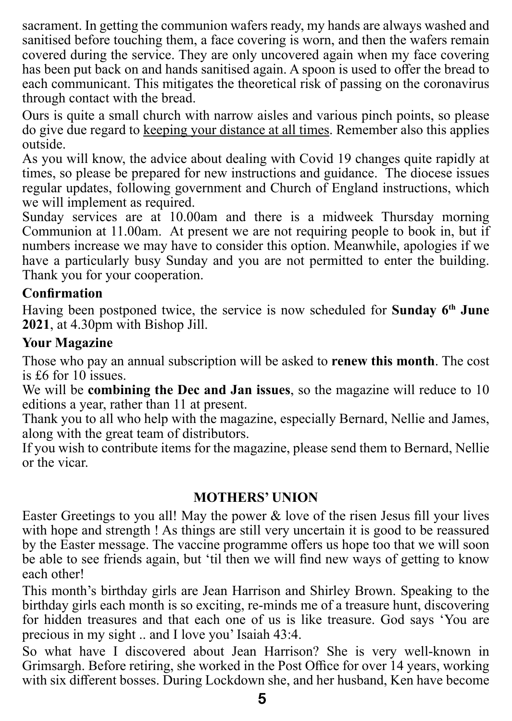sacrament. In getting the communion wafers ready, my hands are always washed and sanitised before touching them, a face covering is worn, and then the wafers remain covered during the service. They are only uncovered again when my face covering has been put back on and hands sanitised again. A spoon is used to offer the bread to each communicant. This mitigates the theoretical risk of passing on the coronavirus through contact with the bread.

Ours is quite a small church with narrow aisles and various pinch points, so please do give due regard to keeping your distance at all times. Remember also this applies outside.

As you will know, the advice about dealing with Covid 19 changes quite rapidly at times, so please be prepared for new instructions and guidance. The diocese issues regular updates, following government and Church of England instructions, which we will implement as required.

Sunday services are at 10.00am and there is a midweek Thursday morning Communion at 11.00am. At present we are not requiring people to book in, but if numbers increase we may have to consider this option. Meanwhile, apologies if we have a particularly busy Sunday and you are not permitted to enter the building. Thank you for your cooperation.

## **Confirmation**

Having been postponed twice, the service is now scheduled for **Sunday 6th June 2021**, at 4.30pm with Bishop Jill.

## **Your Magazine**

Those who pay an annual subscription will be asked to **renew this month**. The cost is £6 for 10 issues.

We will be **combining the Dec and Jan issues**, so the magazine will reduce to 10 editions a year, rather than 11 at present.

Thank you to all who help with the magazine, especially Bernard, Nellie and James, along with the great team of distributors.

If you wish to contribute items for the magazine, please send them to Bernard, Nellie or the vicar.

## **MOTHERS' UNION**

Easter Greetings to you all! May the power  $\&$  love of the risen Jesus fill your lives with hope and strength ! As things are still very uncertain it is good to be reassured by the Easter message. The vaccine programme offers us hope too that we will soon be able to see friends again, but 'til then we will find new ways of getting to know each other!

This month's birthday girls are Jean Harrison and Shirley Brown. Speaking to the birthday girls each month is so exciting, re-minds me of a treasure hunt, discovering for hidden treasures and that each one of us is like treasure. God says 'You are precious in my sight .. and I love you' Isaiah 43:4.

So what have I discovered about Jean Harrison? She is very well-known in Grimsargh. Before retiring, she worked in the Post Office for over 14 years, working with six different bosses. During Lockdown she, and her husband, Ken have become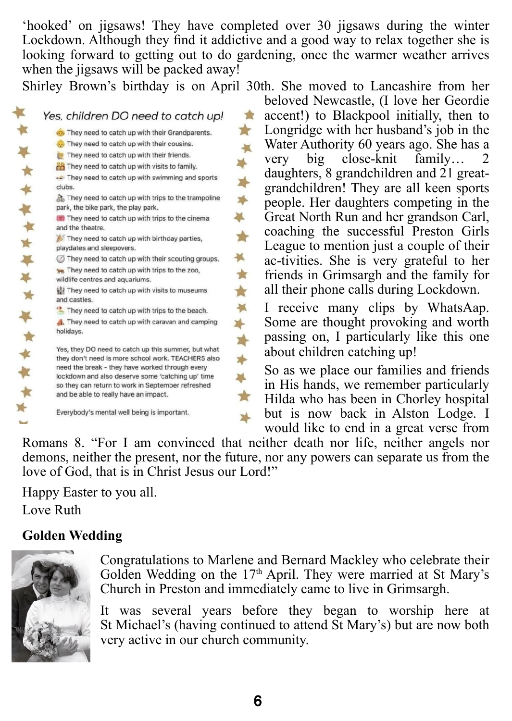'hooked' on jigsaws! They have completed over 30 jigsaws during the winter Lockdown. Although they find it addictive and a good way to relax together she is looking forward to getting out to do gardening, once the warmer weather arrives when the jigsaws will be packed away!

Shirley Brown's birthday is on April 30th. She moved to Lancashire from her

 $\star$ 

 $\overline{\mathbf{M}}$  $\rightarrow$ 

 $\rightarrow$ 

|               | Yes, children DO need to catch up!                                                                        |
|---------------|-----------------------------------------------------------------------------------------------------------|
|               | They need to catch up with their Grandparents.                                                            |
|               | They need to catch up with their cousins.                                                                 |
|               | They need to catch up with their friends.                                                                 |
|               | on They need to catch up with visits to family.                                                           |
| ♦             | They need to catch up with swimming and sports<br>clubs.                                                  |
| ¥             | They need to catch up with trips to the trampoline<br>park, the bike park, the play park.                 |
|               | They need to catch up with trips to the cinema<br>and the theatre.                                        |
| **            | They need to catch up with birthday parties,<br>playdates and sleepovers.                                 |
|               | They need to catch up with their scouting groups.                                                         |
| * *           | <b>PR</b> They need to catch up with trips to the zoo,<br>wildlife centres and aquariums.                 |
| <b>W</b>      | Ill They need to catch up with visits to museums<br>and castles.                                          |
|               | They need to catch up with trips to the beach.                                                            |
| ₹<br>ŵ        | They need to catch up with caravan and camping<br>holidays.                                               |
| ↞             | Yes, they DO need to catch up this summer, but what<br>they don't need is more school work. TEACHERS also |
|               | need the break - they have worked through every<br>lockdown and also deserve some 'catching up' time      |
| $\frac{1}{2}$ | so they can return to work in September refreshed<br>and be able to really have an impact.                |
|               | Everybody's mental well being is important.                                                               |
|               |                                                                                                           |

beloved Newcastle, (I love her Geordie accent!) to Blackpool initially, then to **TAX**  $\mathbb{R}$ Longridge with her husband's job in the Water Authority 60 years ago. She has a  $\blacksquare$ very big close-knit family… 2 daughters, 8 grandchildren and 21 greatgrandchildren! They are all keen sports people. Her daughters competing in the Great North Run and her grandson Carl, coaching the successful Preston Girls League to mention just a couple of their ac-tivities. She is very grateful to her friends in Grimsargh and the family for all their phone calls during Lockdown.

I receive many clips by WhatsAap. Some are thought provoking and worth passing on, I particularly like this one about children catching up!

So as we place our families and friends in His hands, we remember particularly Hilda who has been in Chorley hospital but is now back in Alston Lodge. I would like to end in a great verse from

Romans 8. "For I am convinced that neither death nor life, neither angels nor demons, neither the present, nor the future, nor any powers can separate us from the love of God, that is in Christ Jesus our Lord!"

Happy Easter to you all. Love Ruth

## **Golden Wedding**



Congratulations to Marlene and Bernard Mackley who celebrate their Golden Wedding on the 17<sup>th</sup> April. They were married at St Mary's Church in Preston and immediately came to live in Grimsargh.

It was several years before they began to worship here at St Michael's (having continued to attend St Mary's) but are now both very active in our church community.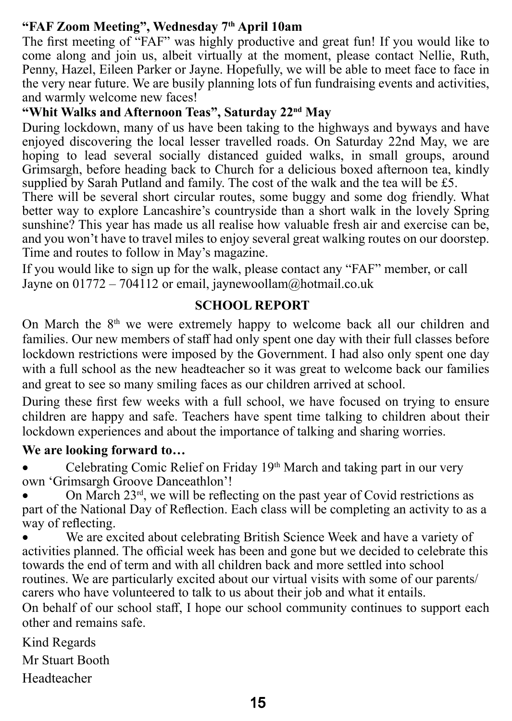## **"FAF Zoom Meeting", Wednesday 7th April 10am**

The first meeting of "FAF" was highly productive and great fun! If you would like to come along and join us, albeit virtually at the moment, please contact Nellie, Ruth, Penny, Hazel, Eileen Parker or Jayne. Hopefully, we will be able to meet face to face in the very near future. We are busily planning lots of fun fundraising events and activities, and warmly welcome new faces!

## **"Whit Walks and Afternoon Teas", Saturday 22nd May**

During lockdown, many of us have been taking to the highways and byways and have enjoyed discovering the local lesser travelled roads. On Saturday 22nd May, we are hoping to lead several socially distanced guided walks, in small groups, around Grimsargh, before heading back to Church for a delicious boxed afternoon tea, kindly supplied by Sarah Putland and family. The cost of the walk and the tea will be £5.

There will be several short circular routes, some buggy and some dog friendly. What better way to explore Lancashire's countryside than a short walk in the lovely Spring sunshine? This year has made us all realise how valuable fresh air and exercise can be, and you won't have to travel miles to enjoy several great walking routes on our doorstep. Time and routes to follow in May's magazine.

If you would like to sign up for the walk, please contact any "FAF" member, or call Jayne on 01772 – 704112 or email, jaynewoollam@hotmail.co.uk

### **SCHOOL REPORT**

On March the 8<sup>th</sup> we were extremely happy to welcome back all our children and families. Our new members of staff had only spent one day with their full classes before lockdown restrictions were imposed by the Government. I had also only spent one day with a full school as the new headteacher so it was great to welcome back our families and great to see so many smiling faces as our children arrived at school.

During these first few weeks with a full school, we have focused on trying to ensure children are happy and safe. Teachers have spent time talking to children about their lockdown experiences and about the importance of talking and sharing worries.

## **We are looking forward to…**

Celebrating Comic Relief on Friday 19th March and taking part in our very own 'Grimsargh Groove Danceathlon'!

On March  $23<sup>rd</sup>$ , we will be reflecting on the past year of Covid restrictions as part of the National Day of Reflection. Each class will be completing an activity to as a way of reflecting.

We are excited about celebrating British Science Week and have a variety of activities planned. The official week has been and gone but we decided to celebrate this towards the end of term and with all children back and more settled into school routines. We are particularly excited about our virtual visits with some of our parents/ carers who have volunteered to talk to us about their job and what it entails.

On behalf of our school staff, I hope our school community continues to support each other and remains safe.

Kind Regards Mr Stuart Booth Headteacher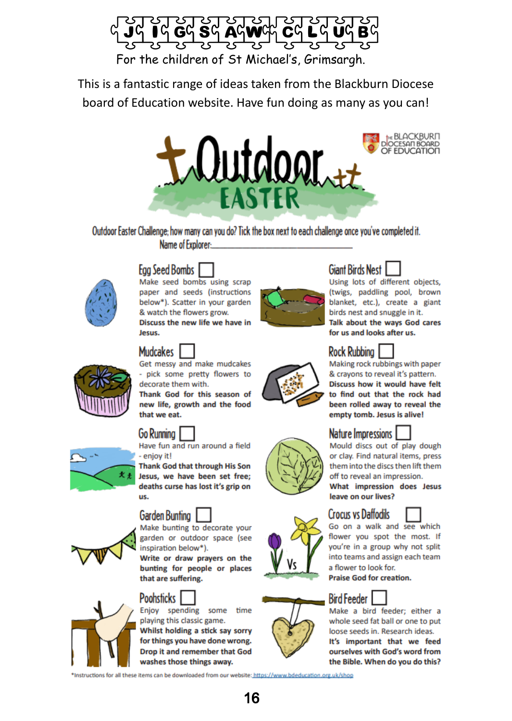

This is a fantastic range of ideas taken from the Blackburn Diocese board of Education website. Have fun doing as many as you can!



Outdoor Easter Challenge: how many can you do? Tick the box next to each challenge once you've completed it. Name of Explorer:



# **Egg Seed Bombs**

Make seed bombs using scrap paper and seeds (instructions) below\*). Scatter in your garden & watch the flowers grow. Discuss the new life we have in locuc



Get messy and make mudcakes - pick some pretty flowers to decorate them with.

Thank God for this season of new life, growth and the food that we eat.

Have fun and run around a field

Thank God that through His Son Jesus, we have been set free: deaths curse has lost it's grip on us.

## Garden Bunting

garden or outdoor space (see inspiration below\*).

bunting for people or places that are suffering.

## **Poohsticks**

Enjoy spending some time playing this classic game. Whilst holding a stick say sorry for things you have done wrong. **Drop it and remember that God** washes those things away.

\*Instructions for all these items can be downloaded from our website: https://www.bdeducation.org.uk/shop



Using lots of different objects. (twigs, paddling pool, brown blanket, etc.), create a giant birds nest and snuggle in it. Talk about the ways God cares for us and looks after us.



Making rock rubbings with paper & cravons to reveal it's pattern. Discuss how it would have felt to find out that the rock had been rolled away to reveal the empty tomb. Jesus is alive!



## **Nature Impressions 1**

Mould discs out of play dough or clay. Find natural items, press them into the discs then lift them off to reveal an impression.

What impression does Jesus leave on our lives?

#### **Crocus vs Daffodils**





Make a bird feeder: either a whole seed fat ball or one to put loose seeds in. Research ideas. It's important that we feed ourselves with God's word from the Bible. When do you do this?





- enjoy it!





Make bunting to decorate your

Write or draw prayers on the











**Praise God for creation. Bird Feeder**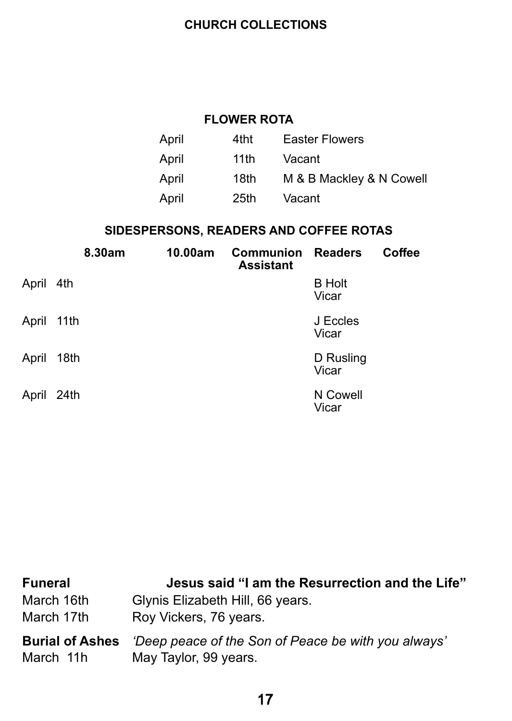## **CHURCH COLLECTIONS**

## **FLOWER ROTA**

| April | 4tht. | <b>Easter Flowers</b>    |
|-------|-------|--------------------------|
| April | 11th  | Vacant                   |
| April | 18th  | M & B Mackley & N Cowell |
| April | 25th  | Vacant                   |

## **SIDESPERSONS, READERS AND COFFEE ROTAS**

|            | 8.30am | 10.00am | <b>Communion</b><br><b>Assistant</b> | <b>Readers</b>         | Coffee |
|------------|--------|---------|--------------------------------------|------------------------|--------|
| April 4th  |        |         |                                      | <b>B</b> Holt<br>Vicar |        |
| April 11th |        |         |                                      | J Eccles<br>Vicar      |        |
| April      | 18th   |         |                                      | D Rusling<br>Vicar     |        |
| April 24th |        |         |                                      | N Cowell<br>Vicar      |        |

| <b>Funeral</b>         | Jesus said "I am the Resurrection and the Life"     |
|------------------------|-----------------------------------------------------|
| March 16th             | Glynis Elizabeth Hill, 66 years.                    |
| March 17th             | Roy Vickers, 76 years.                              |
| <b>Burial of Ashes</b> | 'Deep peace of the Son of Peace be with you always' |
| March 11h              | May Taylor, 99 years.                               |